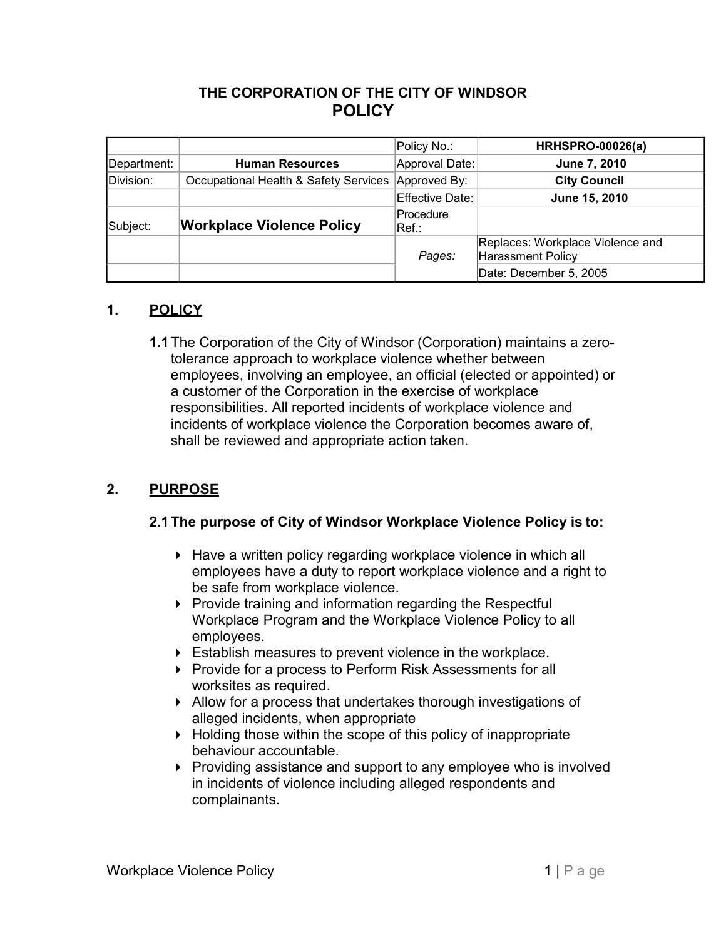# **THE CORPORATION OF THE CITY OF WINDSOR POLICY**

|             |                                       | Policy No.:         | <b>HRHSPRO-00026(a)</b>                               |
|-------------|---------------------------------------|---------------------|-------------------------------------------------------|
| Department: | <b>Human Resources</b>                | Approval Date:      | June 7, 2010                                          |
| Division:   | Occupational Health & Safety Services | Approved By:        | <b>City Council</b>                                   |
|             |                                       | Effective Date:     | June 15, 2010                                         |
| Subject:    | <b>Workplace Violence Policy</b>      | Procedure<br>∣Ref.: |                                                       |
|             |                                       | Pages:              | Replaces: Workplace Violence and<br>Harassment Policy |
|             |                                       |                     | Date: December 5, 2005                                |

### **1. POLICY**

**1.1**The Corporation of the City of Windsor (Corporation) maintains a zerotolerance approach to workplace violence whether between employees, involving an employee, an official (elected or appointed) or a customer of the Corporation in the exercise of workplace responsibilities. All reported incidents of workplace violence and incidents of workplace violence the Corporation becomes aware of, shall be reviewed and appropriate action taken.

# **2. PURPOSE**

#### **2.1The purpose of City of Windsor Workplace Violence Policy is to:**

- ▶ Have a written policy regarding workplace violence in which all employees have a duty to report workplace violence and a right to be safe from workplace violence.
- ▶ Provide training and information regarding the Respectful Workplace Program and the Workplace Violence Policy to all employees.
- ▶ Establish measures to prevent violence in the workplace.
- ▶ Provide for a process to Perform Risk Assessments for all worksites as required.
- ▶ Allow for a process that undertakes thorough investigations of alleged incidents, when appropriate
- ▶ Holding those within the scope of this policy of inappropriate behaviour accountable.
- ▶ Providing assistance and support to any employee who is involved in incidents of violence including alleged respondents and complainants.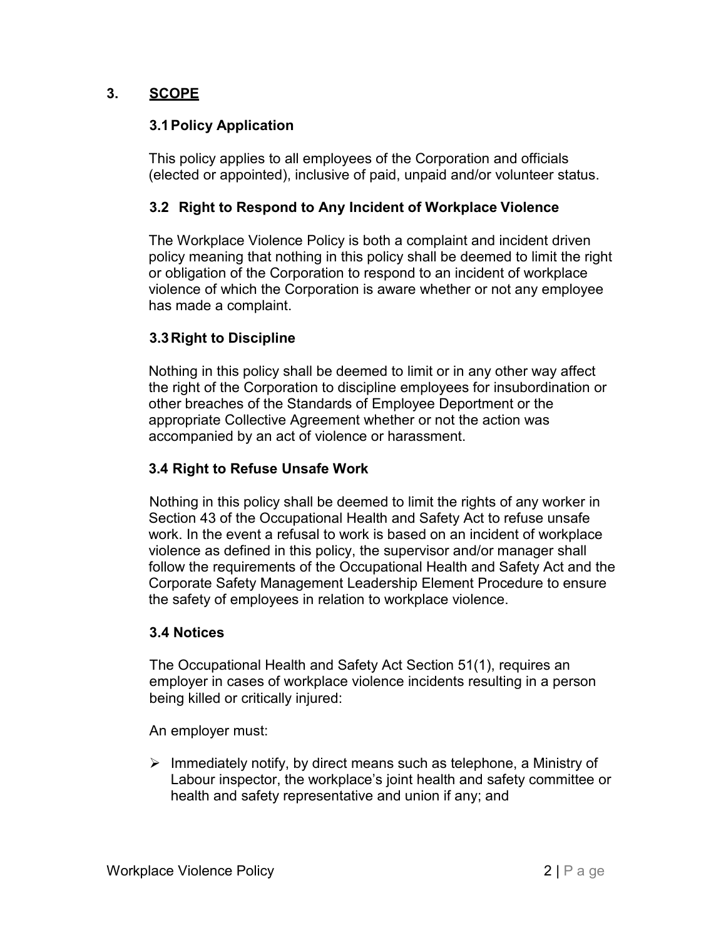### **3. SCOPE**

### **3.1Policy Application**

This policy applies to all employees of the Corporation and officials (elected or appointed), inclusive of paid, unpaid and/or volunteer status.

#### **3.2 Right to Respond to Any Incident of Workplace Violence**

The Workplace Violence Policy is both a complaint and incident driven policy meaning that nothing in this policy shall be deemed to limit the right or obligation of the Corporation to respond to an incident of workplace violence of which the Corporation is aware whether or not any employee has made a complaint.

### **3.3Right to Discipline**

Nothing in this policy shall be deemed to limit or in any other way affect the right of the Corporation to discipline employees for insubordination or other breaches of the Standards of Employee Deportment or the appropriate Collective Agreement whether or not the action was accompanied by an act of violence or harassment.

### **3.4 Right to Refuse Unsafe Work**

Nothing in this policy shall be deemed to limit the rights of any worker in Section 43 of the Occupational Health and Safety Act to refuse unsafe work. In the event a refusal to work is based on an incident of workplace violence as defined in this policy, the supervisor and/or manager shall follow the requirements of the Occupational Health and Safety Act and the Corporate Safety Management Leadership Element Procedure to ensure the safety of employees in relation to workplace violence.

#### **3.4 Notices**

The Occupational Health and Safety Act Section 51(1), requires an employer in cases of workplace violence incidents resulting in a person being killed or critically injured:

An employer must:

 $\triangleright$  Immediately notify, by direct means such as telephone, a Ministry of Labour inspector, the workplace's joint health and safety committee or health and safety representative and union if any; and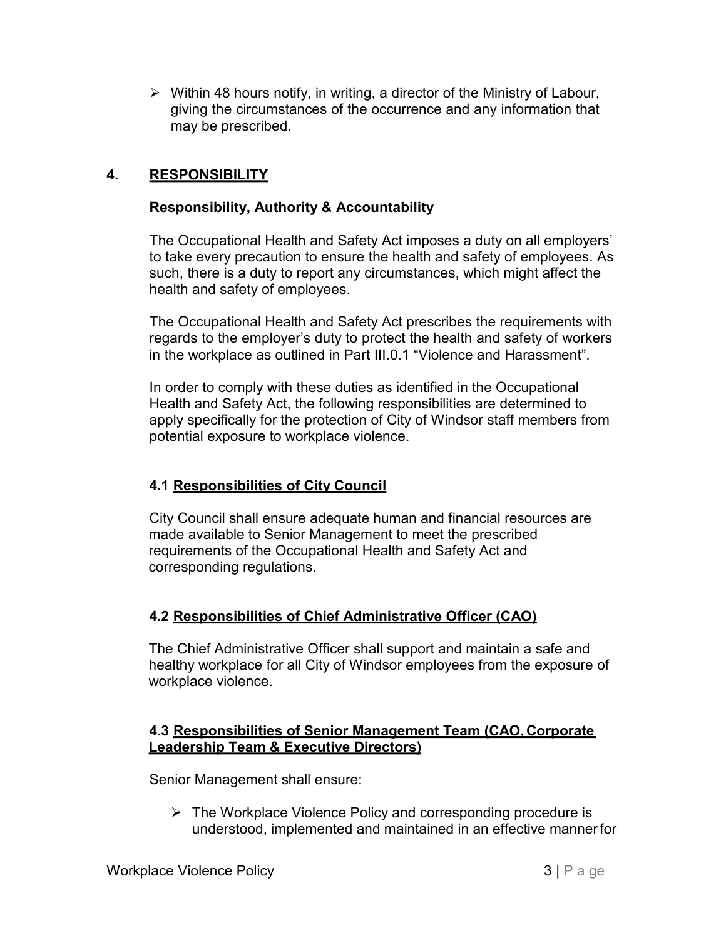$\triangleright$  Within 48 hours notify, in writing, a director of the Ministry of Labour, giving the circumstances of the occurrence and any information that may be prescribed.

# **4. RESPONSIBILITY**

#### **Responsibility, Authority & Accountability**

The Occupational Health and Safety Act imposes a duty on all employers' to take every precaution to ensure the health and safety of employees. As such, there is a duty to report any circumstances, which might affect the health and safety of employees.

The Occupational Health and Safety Act prescribes the requirements with regards to the employer's duty to protect the health and safety of workers in the workplace as outlined in Part III.0.1 "Violence and Harassment".

In order to comply with these duties as identified in the Occupational Health and Safety Act, the following responsibilities are determined to apply specifically for the protection of City of Windsor staff members from potential exposure to workplace violence.

### **4.1 Responsibilities of City Council**

City Council shall ensure adequate human and financial resources are made available to Senior Management to meet the prescribed requirements of the Occupational Health and Safety Act and corresponding regulations.

### **4.2 Responsibilities of Chief Administrative Officer (CAO)**

The Chief Administrative Officer shall support and maintain a safe and healthy workplace for all City of Windsor employees from the exposure of workplace violence.

#### **4.3 Responsibilities of Senior Management Team (CAO, Corporate Leadership Team & Executive Directors)**

Senior Management shall ensure:

 $\triangleright$  The Workplace Violence Policy and corresponding procedure is understood, implemented and maintained in an effective mannerfor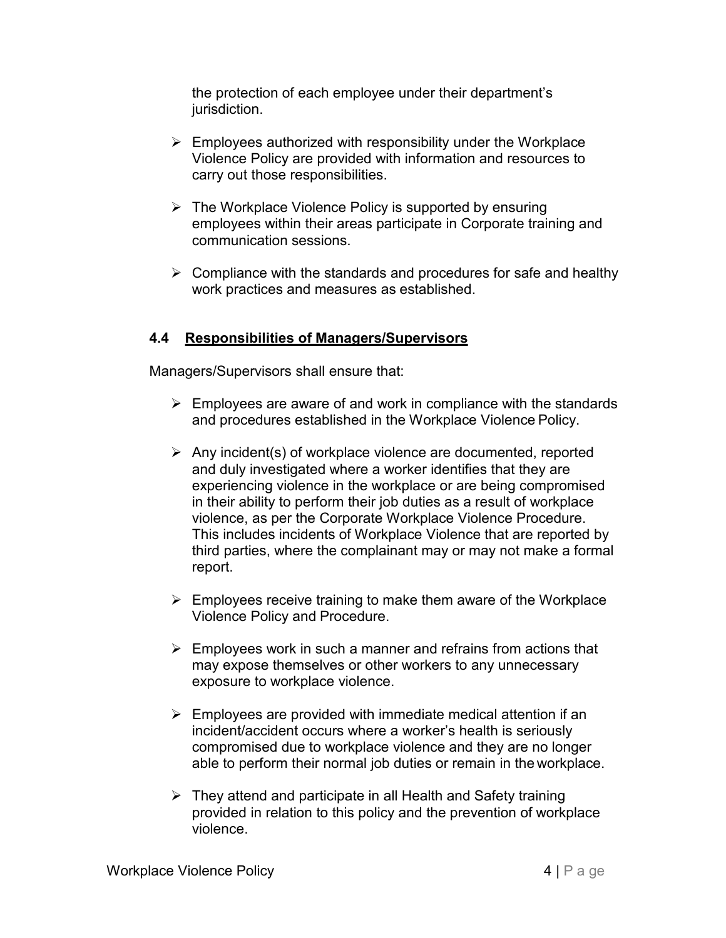the protection of each employee under their department's jurisdiction.

- $\triangleright$  Employees authorized with responsibility under the Workplace Violence Policy are provided with information and resources to carry out those responsibilities.
- $\triangleright$  The Workplace Violence Policy is supported by ensuring employees within their areas participate in Corporate training and communication sessions.
- $\triangleright$  Compliance with the standards and procedures for safe and healthy work practices and measures as established.

### **4.4 Responsibilities of Managers/Supervisors**

Managers/Supervisors shall ensure that:

- $\triangleright$  Employees are aware of and work in compliance with the standards and procedures established in the Workplace Violence Policy.
- $\triangleright$  Any incident(s) of workplace violence are documented, reported and duly investigated where a worker identifies that they are experiencing violence in the workplace or are being compromised in their ability to perform their job duties as a result of workplace violence, as per the Corporate Workplace Violence Procedure. This includes incidents of Workplace Violence that are reported by third parties, where the complainant may or may not make a formal report.
- $\triangleright$  Employees receive training to make them aware of the Workplace Violence Policy and Procedure.
- $\triangleright$  Employees work in such a manner and refrains from actions that may expose themselves or other workers to any unnecessary exposure to workplace violence.
- $\triangleright$  Employees are provided with immediate medical attention if an incident/accident occurs where a worker's health is seriously compromised due to workplace violence and they are no longer able to perform their normal job duties or remain in the workplace.
- $\triangleright$  They attend and participate in all Health and Safety training provided in relation to this policy and the prevention of workplace violence.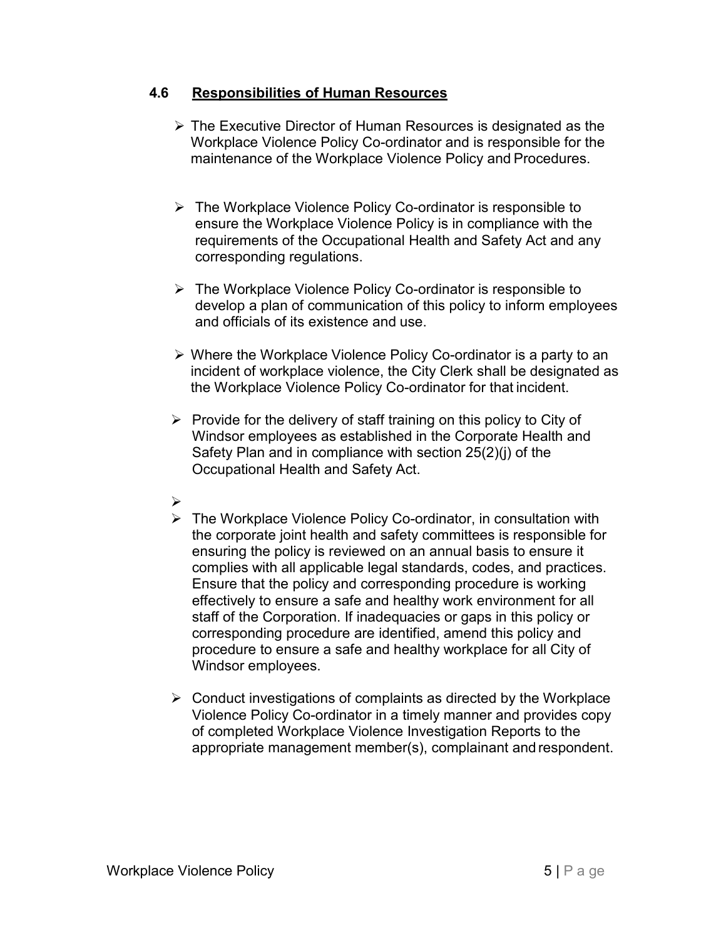#### **4.6 Responsibilities of Human Resources**

- ⮚ The Executive Director of Human Resources is designated as the Workplace Violence Policy Co-ordinator and is responsible for the maintenance of the Workplace Violence Policy and Procedures.
- $\triangleright$  The Workplace Violence Policy Co-ordinator is responsible to ensure the Workplace Violence Policy is in compliance with the requirements of the Occupational Health and Safety Act and any corresponding regulations.
- ⮚ The Workplace Violence Policy Co-ordinator is responsible to develop a plan of communication of this policy to inform employees and officials of its existence and use.
- ⮚ Where the Workplace Violence Policy Co-ordinator is a party to an incident of workplace violence, the City Clerk shall be designated as the Workplace Violence Policy Co-ordinator for that incident.
- $\triangleright$  Provide for the delivery of staff training on this policy to City of Windsor employees as established in the Corporate Health and Safety Plan and in compliance with section 25(2)(j) of the Occupational Health and Safety Act.
- $\blacktriangleright$
- $\triangleright$  The Workplace Violence Policy Co-ordinator, in consultation with the corporate joint health and safety committees is responsible for ensuring the policy is reviewed on an annual basis to ensure it complies with all applicable legal standards, codes, and practices. Ensure that the policy and corresponding procedure is working effectively to ensure a safe and healthy work environment for all staff of the Corporation. If inadequacies or gaps in this policy or corresponding procedure are identified, amend this policy and procedure to ensure a safe and healthy workplace for all City of Windsor employees.
- $\triangleright$  Conduct investigations of complaints as directed by the Workplace Violence Policy Co-ordinator in a timely manner and provides copy of completed Workplace Violence Investigation Reports to the appropriate management member(s), complainant and respondent.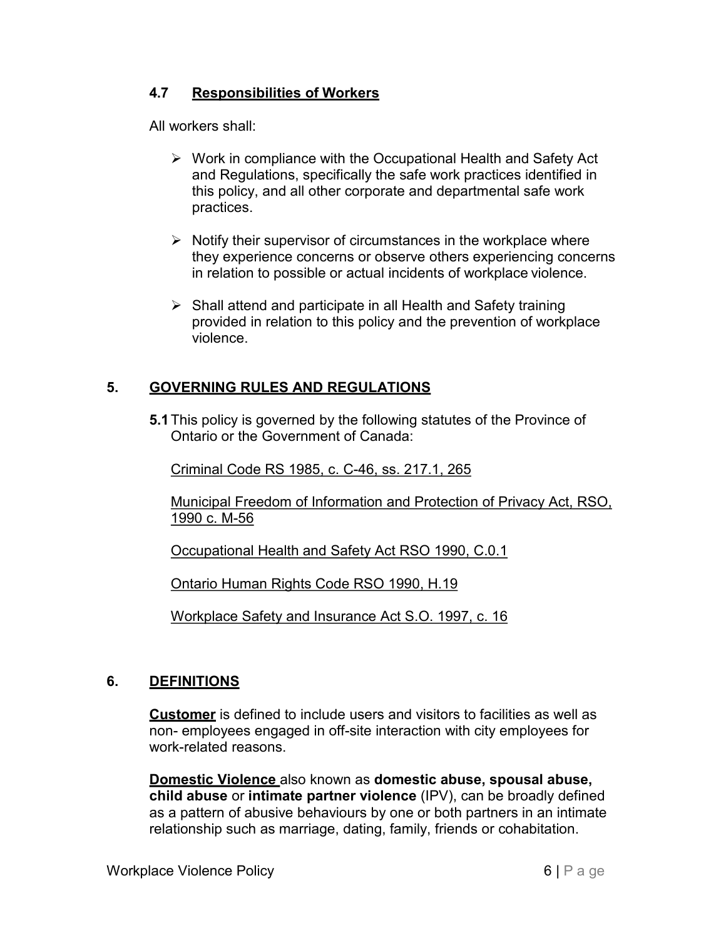### **4.7 Responsibilities of Workers**

All workers shall:

- ⮚ Work in compliance with the Occupational Health and Safety Act and Regulations, specifically the safe work practices identified in this policy, and all other corporate and departmental safe work practices.
- $\triangleright$  Notify their supervisor of circumstances in the workplace where they experience concerns or observe others experiencing concerns in relation to possible or actual incidents of workplace violence.
- $\triangleright$  Shall attend and participate in all Health and Safety training provided in relation to this policy and the prevention of workplace violence.

# **5. GOVERNING RULES AND REGULATIONS**

**5.1**This policy is governed by the following statutes of the Province of Ontario or the Government of Canada:

Criminal Code RS 1985, c. C-46, ss. 217.1, 265

Municipal Freedom of Information and Protection of Privacy Act, RSO, 1990 c. M-56

Occupational Health and Safety Act RSO 1990, C.0.1

Ontario Human Rights Code RSO 1990, H.19

Workplace Safety and Insurance Act S.O. 1997, c. 16

### **6. DEFINITIONS**

**Customer** is defined to include users and visitors to facilities as well as non- employees engaged in off-site interaction with city employees for work-related reasons.

**Domestic Violence** also known as **domestic abuse, spousal abuse, child abuse** or **intimate partner violence** (IPV), can be broadly defined as a pattern of abusive behaviours by one or both partners in an intimate relationship such as marriage, dating, family, friends or cohabitation.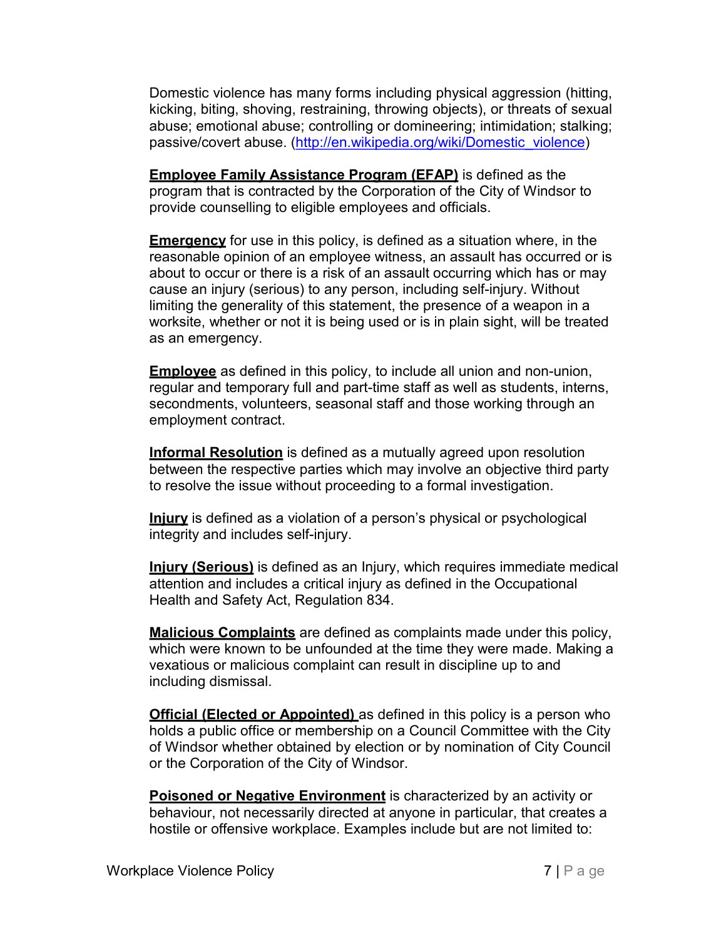Domestic violence has many forms including physical aggression (hitting, kicking, biting, shoving, restraining, throwing objects), or threats of sexual abuse; emotional abuse; controlling or domineering; intimidation; stalking; passive/covert abuse. [\(http://en.wikipedia.org/wiki/Domestic\\_violence\)](http://en.wikipedia.org/wiki/Domestic_violence)

**Employee Family Assistance Program (EFAP)** is defined as the program that is contracted by the Corporation of the City of Windsor to provide counselling to eligible employees and officials.

**Emergency** for use in this policy, is defined as a situation where, in the reasonable opinion of an employee witness, an assault has occurred or is about to occur or there is a risk of an assault occurring which has or may cause an injury (serious) to any person, including self-injury. Without limiting the generality of this statement, the presence of a weapon in a worksite, whether or not it is being used or is in plain sight, will be treated as an emergency.

**Employee** as defined in this policy, to include all union and non-union, regular and temporary full and part-time staff as well as students, interns, secondments, volunteers, seasonal staff and those working through an employment contract.

**Informal Resolution** is defined as a mutually agreed upon resolution between the respective parties which may involve an objective third party to resolve the issue without proceeding to a formal investigation.

**Injury** is defined as a violation of a person's physical or psychological integrity and includes self-injury.

**Injury (Serious)** is defined as an Injury, which requires immediate medical attention and includes a critical injury as defined in the Occupational Health and Safety Act, Regulation 834.

**Malicious Complaints** are defined as complaints made under this policy, which were known to be unfounded at the time they were made. Making a vexatious or malicious complaint can result in discipline up to and including dismissal.

**Official (Elected or Appointed)** as defined in this policy is a person who holds a public office or membership on a Council Committee with the City of Windsor whether obtained by election or by nomination of City Council or the Corporation of the City of Windsor.

**Poisoned or Negative Environment** is characterized by an activity or behaviour, not necessarily directed at anyone in particular, that creates a hostile or offensive workplace. Examples include but are not limited to: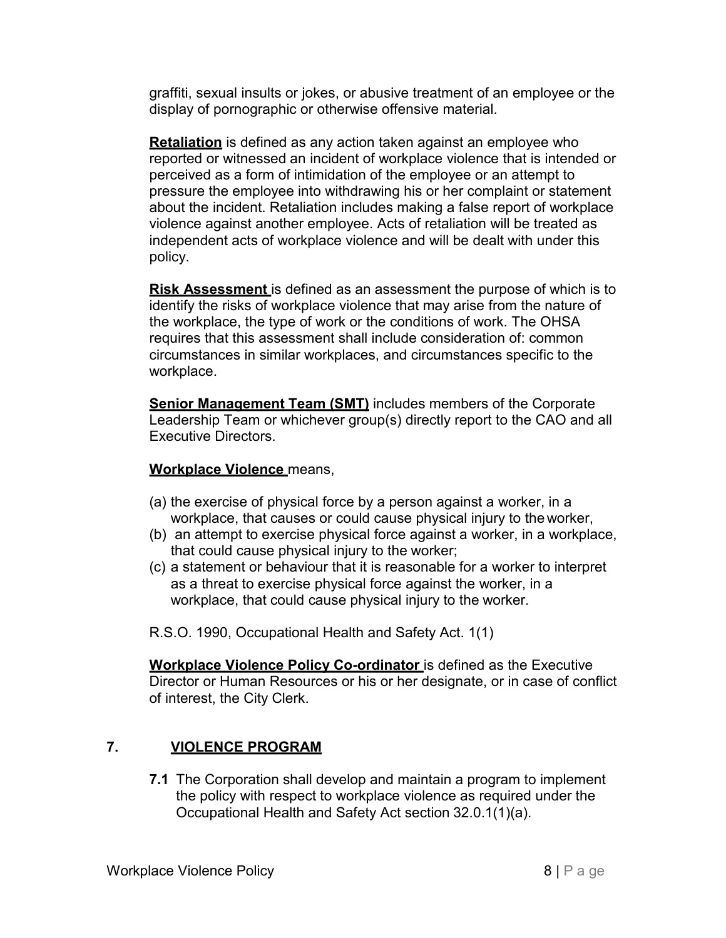graffiti, sexual insults or jokes, or abusive treatment of an employee or the display of pornographic or otherwise offensive material.

**Retaliation** is defined as any action taken against an employee who reported or witnessed an incident of workplace violence that is intended or perceived as a form of intimidation of the employee or an attempt to pressure the employee into withdrawing his or her complaint or statement about the incident. Retaliation includes making a false report of workplace violence against another employee. Acts of retaliation will be treated as independent acts of workplace violence and will be dealt with under this policy.

**Risk Assessment** is defined as an assessment the purpose of which is to identify the risks of workplace violence that may arise from the nature of the workplace, the type of work or the conditions of work. The OHSA requires that this assessment shall include consideration of: common circumstances in similar workplaces, and circumstances specific to the workplace.

**Senior Management Team (SMT)** includes members of the Corporate Leadership Team or whichever group(s) directly report to the CAO and all Executive Directors.

### **Workplace Violence** means,

- (a) the exercise of physical force by a person against a worker, in a workplace, that causes or could cause physical injury to theworker,
- (b) an attempt to exercise physical force against a worker, in a workplace, that could cause physical injury to the worker;
- (c) a statement or behaviour that it is reasonable for a worker to interpret as a threat to exercise physical force against the worker, in a workplace, that could cause physical injury to the worker.

R.S.O. 1990, Occupational Health and Safety Act. 1(1)

**Workplace Violence Policy Co-ordinator** is defined as the Executive Director or Human Resources or his or her designate, or in case of conflict of interest, the City Clerk.

# **7. VIOLENCE PROGRAM**

**7.1** The Corporation shall develop and maintain a program to implement the policy with respect to workplace violence as required under the Occupational Health and Safety Act section 32.0.1(1)(a).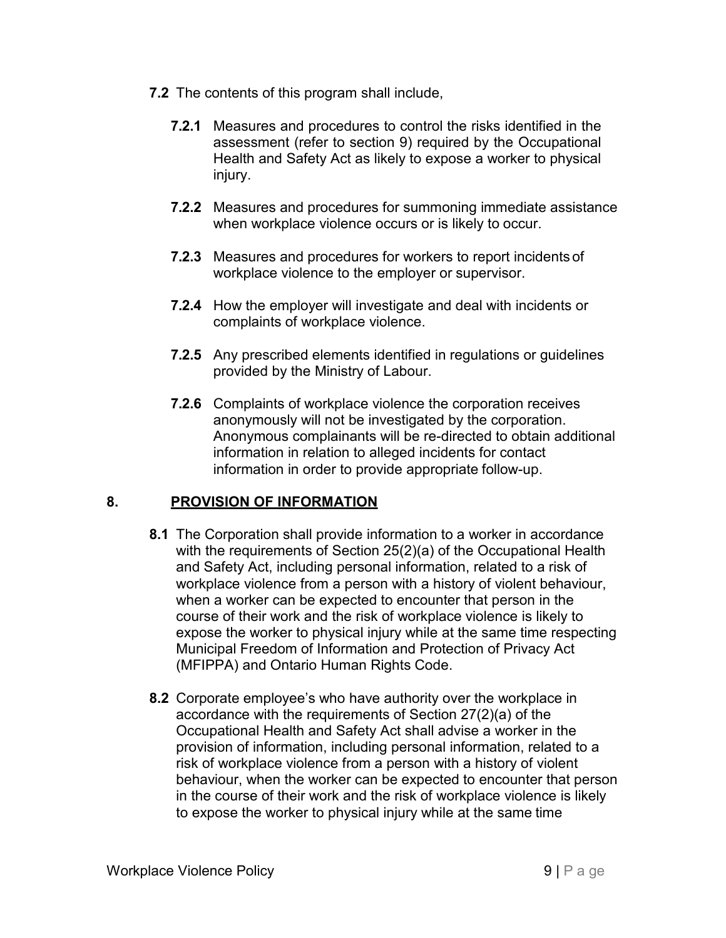- **7.2** The contents of this program shall include,
	- **7.2.1** Measures and procedures to control the risks identified in the assessment (refer to section 9) required by the Occupational Health and Safety Act as likely to expose a worker to physical injury.
	- **7.2.2** Measures and procedures for summoning immediate assistance when workplace violence occurs or is likely to occur.
	- **7.2.3** Measures and procedures for workers to report incidents of workplace violence to the employer or supervisor.
	- **7.2.4** How the employer will investigate and deal with incidents or complaints of workplace violence.
	- **7.2.5** Any prescribed elements identified in regulations or guidelines provided by the Ministry of Labour.
	- **7.2.6** Complaints of workplace violence the corporation receives anonymously will not be investigated by the corporation. Anonymous complainants will be re-directed to obtain additional information in relation to alleged incidents for contact information in order to provide appropriate follow-up.

# **8. PROVISION OF INFORMATION**

- **8.1** The Corporation shall provide information to a worker in accordance with the requirements of Section 25(2)(a) of the Occupational Health and Safety Act, including personal information, related to a risk of workplace violence from a person with a history of violent behaviour, when a worker can be expected to encounter that person in the course of their work and the risk of workplace violence is likely to expose the worker to physical injury while at the same time respecting Municipal Freedom of Information and Protection of Privacy Act (MFIPPA) and Ontario Human Rights Code.
- **8.2** Corporate employee's who have authority over the workplace in accordance with the requirements of Section 27(2)(a) of the Occupational Health and Safety Act shall advise a worker in the provision of information, including personal information, related to a risk of workplace violence from a person with a history of violent behaviour, when the worker can be expected to encounter that person in the course of their work and the risk of workplace violence is likely to expose the worker to physical injury while at the same time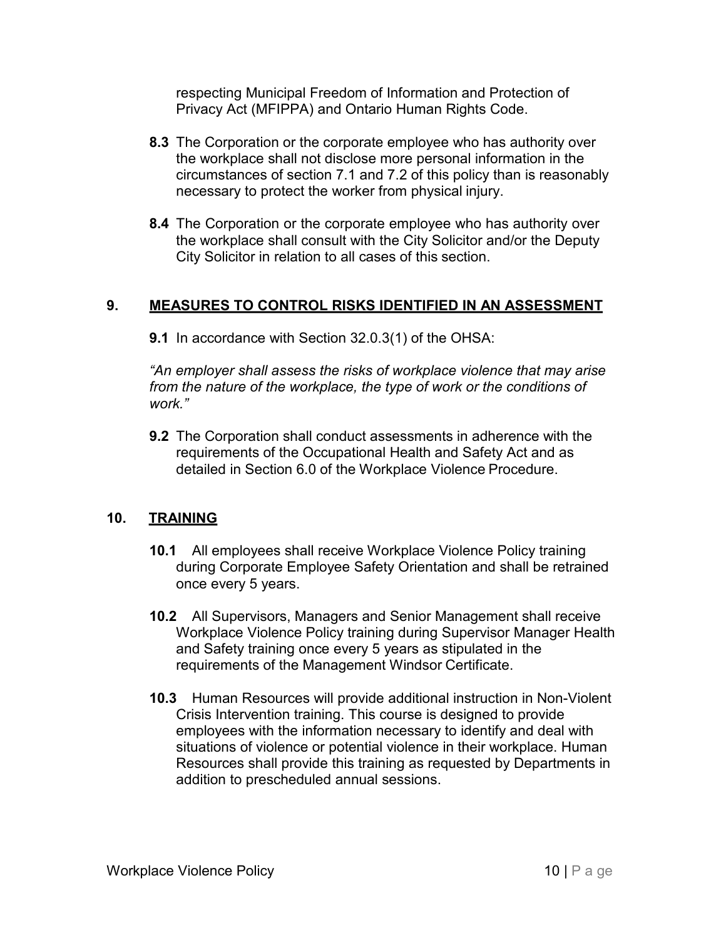respecting Municipal Freedom of Information and Protection of Privacy Act (MFIPPA) and Ontario Human Rights Code.

- **8.3** The Corporation or the corporate employee who has authority over the workplace shall not disclose more personal information in the circumstances of section 7.1 and 7.2 of this policy than is reasonably necessary to protect the worker from physical injury.
- **8.4** The Corporation or the corporate employee who has authority over the workplace shall consult with the City Solicitor and/or the Deputy City Solicitor in relation to all cases of this section.

# **9. MEASURES TO CONTROL RISKS IDENTIFIED IN AN ASSESSMENT**

**9.1** In accordance with Section 32.0.3(1) of the OHSA:

*"An employer shall assess the risks of workplace violence that may arise from the nature of the workplace, the type of work or the conditions of work."*

**9.2** The Corporation shall conduct assessments in adherence with the requirements of the Occupational Health and Safety Act and as detailed in Section 6.0 of the Workplace Violence Procedure.

# **10. TRAINING**

- **10.1** All employees shall receive Workplace Violence Policy training during Corporate Employee Safety Orientation and shall be retrained once every 5 years.
- **10.2** All Supervisors, Managers and Senior Management shall receive Workplace Violence Policy training during Supervisor Manager Health and Safety training once every 5 years as stipulated in the requirements of the Management Windsor Certificate.
- **10.3** Human Resources will provide additional instruction in Non-Violent Crisis Intervention training. This course is designed to provide employees with the information necessary to identify and deal with situations of violence or potential violence in their workplace. Human Resources shall provide this training as requested by Departments in addition to prescheduled annual sessions.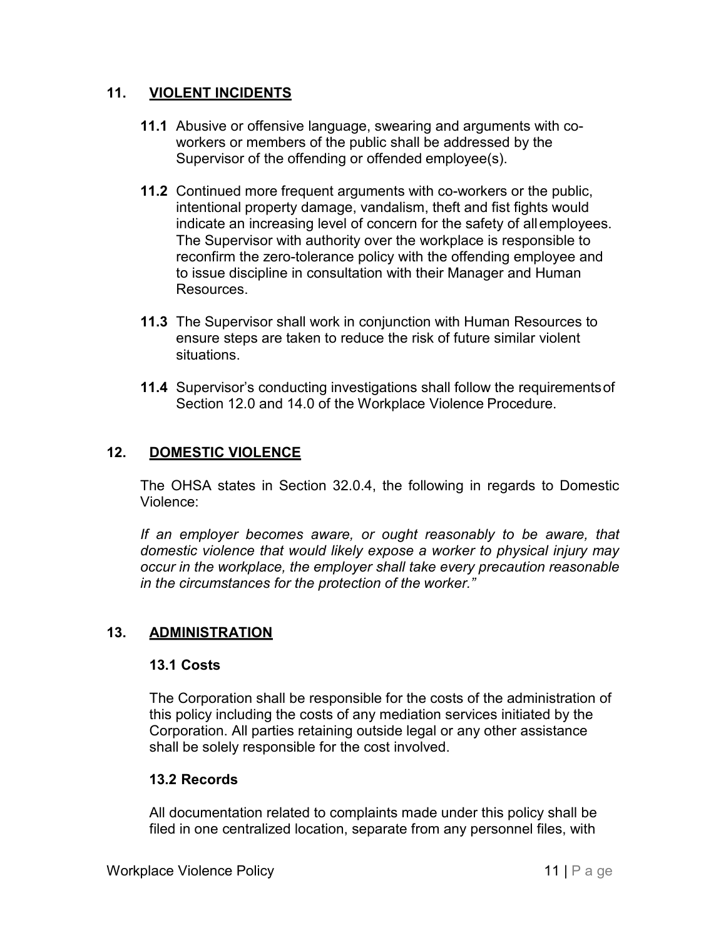### **11. VIOLENT INCIDENTS**

- **11.1** Abusive or offensive language, swearing and arguments with coworkers or members of the public shall be addressed by the Supervisor of the offending or offended employee(s).
- **11.2** Continued more frequent arguments with co-workers or the public, intentional property damage, vandalism, theft and fist fights would indicate an increasing level of concern for the safety of allemployees. The Supervisor with authority over the workplace is responsible to reconfirm the zero-tolerance policy with the offending employee and to issue discipline in consultation with their Manager and Human **Resources**
- **11.3** The Supervisor shall work in conjunction with Human Resources to ensure steps are taken to reduce the risk of future similar violent situations.
- **11.4** Supervisor's conducting investigations shall follow the requirementsof Section 12.0 and 14.0 of the Workplace Violence Procedure.

# **12. DOMESTIC VIOLENCE**

The OHSA states in Section 32.0.4, the following in regards to Domestic Violence:

*If an employer becomes aware, or ought reasonably to be aware, that domestic violence that would likely expose a worker to physical injury may occur in the workplace, the employer shall take every precaution reasonable in the circumstances for the protection of the worker."*

### **13. ADMINISTRATION**

#### **13.1 Costs**

The Corporation shall be responsible for the costs of the administration of this policy including the costs of any mediation services initiated by the Corporation. All parties retaining outside legal or any other assistance shall be solely responsible for the cost involved.

#### **13.2 Records**

All documentation related to complaints made under this policy shall be filed in one centralized location, separate from any personnel files, with